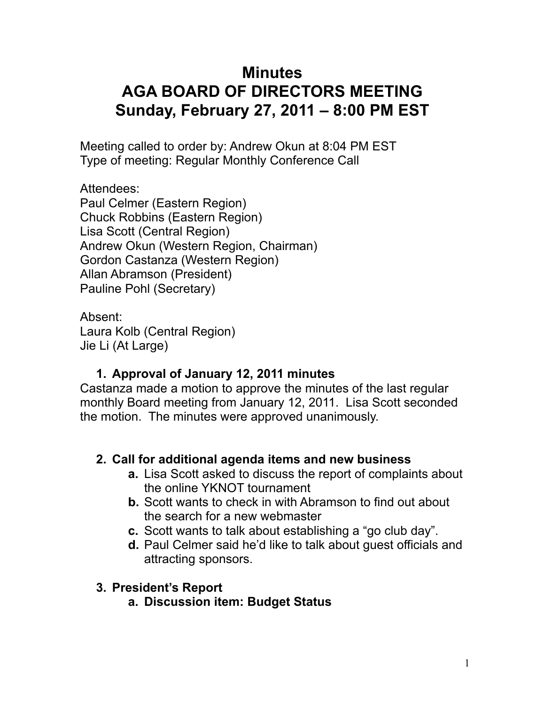# **Minutes AGA BOARD OF DIRECTORS MEETING Sunday, February 27, 2011 – 8:00 PM EST**

Meeting called to order by: Andrew Okun at 8:04 PM EST Type of meeting: Regular Monthly Conference Call

Attendees: Paul Celmer (Eastern Region) Chuck Robbins (Eastern Region) Lisa Scott (Central Region) Andrew Okun (Western Region, Chairman) Gordon Castanza (Western Region) Allan Abramson (President) Pauline Pohl (Secretary)

Absent: Laura Kolb (Central Region) Jie Li (At Large)

# **1. Approval of January 12, 2011 minutes**

Castanza made a motion to approve the minutes of the last regular monthly Board meeting from January 12, 2011. Lisa Scott seconded the motion. The minutes were approved unanimously.

# **2. Call for additional agenda items and new business**

- **a.** Lisa Scott asked to discuss the report of complaints about the online YKNOT tournament
- **b.** Scott wants to check in with Abramson to find out about the search for a new webmaster
- **c.** Scott wants to talk about establishing a "go club day".
- **d.** Paul Celmer said he'd like to talk about guest officials and attracting sponsors.

# **3. President's Report**

**a. Discussion item: Budget Status**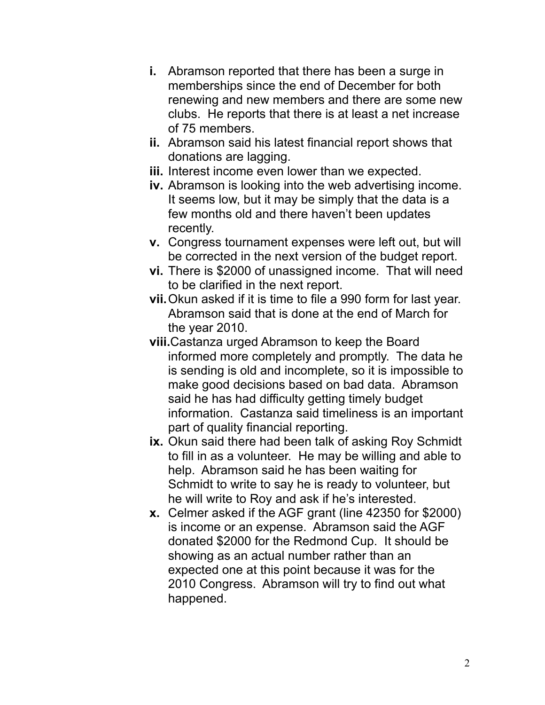- **i.** Abramson reported that there has been a surge in memberships since the end of December for both renewing and new members and there are some new clubs. He reports that there is at least a net increase of 75 members.
- **ii.** Abramson said his latest financial report shows that donations are lagging.
- **iii.** Interest income even lower than we expected.
- **iv.** Abramson is looking into the web advertising income. It seems low, but it may be simply that the data is a few months old and there haven't been updates recently.
- **v.** Congress tournament expenses were left out, but will be corrected in the next version of the budget report.
- **vi.** There is \$2000 of unassigned income. That will need to be clarified in the next report.
- **vii.**Okun asked if it is time to file a 990 form for last year. Abramson said that is done at the end of March for the year 2010.
- **viii.**Castanza urged Abramson to keep the Board informed more completely and promptly. The data he is sending is old and incomplete, so it is impossible to make good decisions based on bad data. Abramson said he has had difficulty getting timely budget information. Castanza said timeliness is an important part of quality financial reporting.
- **ix.** Okun said there had been talk of asking Roy Schmidt to fill in as a volunteer. He may be willing and able to help. Abramson said he has been waiting for Schmidt to write to say he is ready to volunteer, but he will write to Roy and ask if he's interested.
- **x.** Celmer asked if the AGF grant (line 42350 for \$2000) is income or an expense. Abramson said the AGF donated \$2000 for the Redmond Cup. It should be showing as an actual number rather than an expected one at this point because it was for the 2010 Congress. Abramson will try to find out what happened.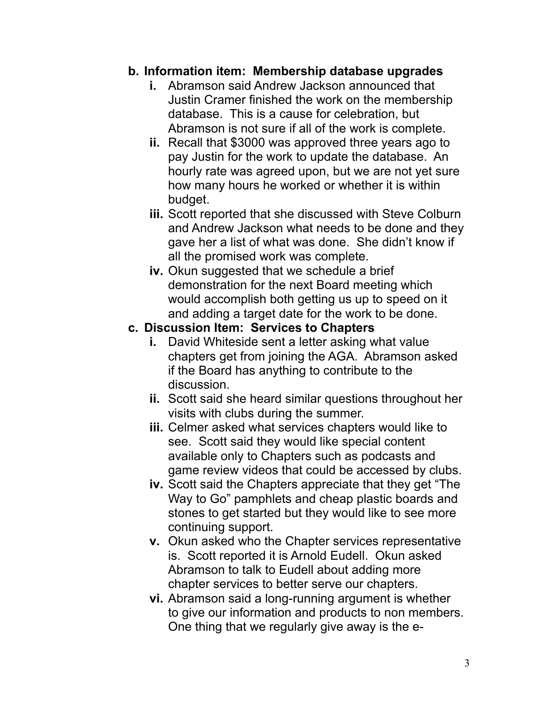#### **b. Information item: Membership database upgrades**

- **i.** Abramson said Andrew Jackson announced that Justin Cramer finished the work on the membership database. This is a cause for celebration, but Abramson is not sure if all of the work is complete.
- **ii.** Recall that \$3000 was approved three years ago to pay Justin for the work to update the database. An hourly rate was agreed upon, but we are not yet sure how many hours he worked or whether it is within budget.
- **iii.** Scott reported that she discussed with Steve Colburn and Andrew Jackson what needs to be done and they gave her a list of what was done. She didn't know if all the promised work was complete.
- **iv.** Okun suggested that we schedule a brief demonstration for the next Board meeting which would accomplish both getting us up to speed on it and adding a target date for the work to be done.

#### **c. Discussion Item: Services to Chapters**

- **i.** David Whiteside sent a letter asking what value chapters get from joining the AGA. Abramson asked if the Board has anything to contribute to the discussion.
- **ii.** Scott said she heard similar questions throughout her visits with clubs during the summer.
- **iii.** Celmer asked what services chapters would like to see. Scott said they would like special content available only to Chapters such as podcasts and game review videos that could be accessed by clubs.
- **iv.** Scott said the Chapters appreciate that they get "The Way to Go" pamphlets and cheap plastic boards and stones to get started but they would like to see more continuing support.
- **v.** Okun asked who the Chapter services representative is. Scott reported it is Arnold Eudell. Okun asked Abramson to talk to Eudell about adding more chapter services to better serve our chapters.
- **vi.** Abramson said a long-running argument is whether to give our information and products to non members. One thing that we regularly give away is the e-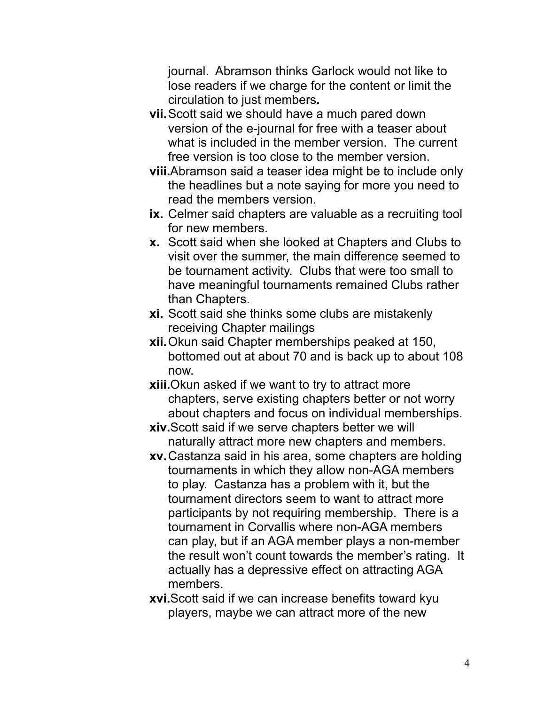journal. Abramson thinks Garlock would not like to lose readers if we charge for the content or limit the circulation to just members**.** 

- **vii.**Scott said we should have a much pared down version of the e-journal for free with a teaser about what is included in the member version. The current free version is too close to the member version.
- **viii.**Abramson said a teaser idea might be to include only the headlines but a note saying for more you need to read the members version.
- **ix.** Celmer said chapters are valuable as a recruiting tool for new members.
- **x.** Scott said when she looked at Chapters and Clubs to visit over the summer, the main difference seemed to be tournament activity. Clubs that were too small to have meaningful tournaments remained Clubs rather than Chapters.
- **xi.** Scott said she thinks some clubs are mistakenly receiving Chapter mailings
- **xii.**Okun said Chapter memberships peaked at 150, bottomed out at about 70 and is back up to about 108 now.
- **xiii.**Okun asked if we want to try to attract more chapters, serve existing chapters better or not worry about chapters and focus on individual memberships.
- **xiv.**Scott said if we serve chapters better we will naturally attract more new chapters and members.
- **xv.**Castanza said in his area, some chapters are holding tournaments in which they allow non-AGA members to play. Castanza has a problem with it, but the tournament directors seem to want to attract more participants by not requiring membership. There is a tournament in Corvallis where non-AGA members can play, but if an AGA member plays a non-member the result won't count towards the member's rating. It actually has a depressive effect on attracting AGA members.
- **xvi.**Scott said if we can increase benefits toward kyu players, maybe we can attract more of the new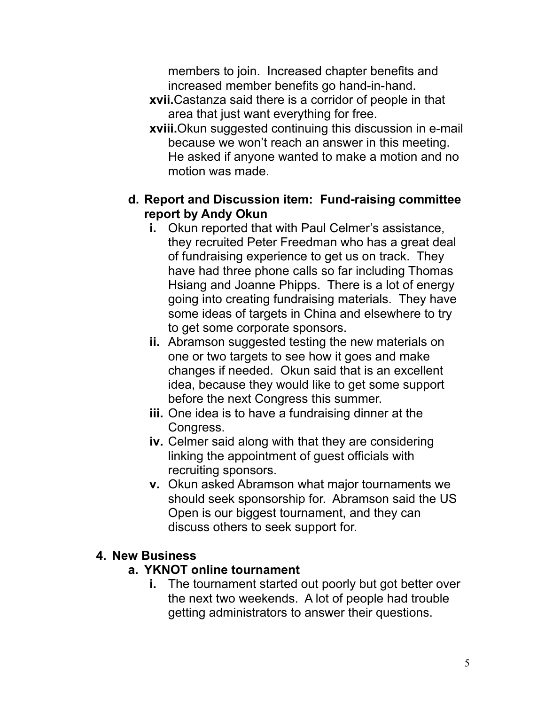members to join. Increased chapter benefits and increased member benefits go hand-in-hand.

- **xvii.**Castanza said there is a corridor of people in that area that just want everything for free.
- **xviii.**Okun suggested continuing this discussion in e-mail because we won't reach an answer in this meeting. He asked if anyone wanted to make a motion and no motion was made.

## **d. Report and Discussion item: Fund-raising committee report by Andy Okun**

- **i.** Okun reported that with Paul Celmer's assistance, they recruited Peter Freedman who has a great deal of fundraising experience to get us on track. They have had three phone calls so far including Thomas Hsiang and Joanne Phipps. There is a lot of energy going into creating fundraising materials. They have some ideas of targets in China and elsewhere to try to get some corporate sponsors.
- **ii.** Abramson suggested testing the new materials on one or two targets to see how it goes and make changes if needed. Okun said that is an excellent idea, because they would like to get some support before the next Congress this summer.
- **iii.** One idea is to have a fundraising dinner at the Congress.
- **iv.** Celmer said along with that they are considering linking the appointment of guest officials with recruiting sponsors.
- **v.** Okun asked Abramson what major tournaments we should seek sponsorship for. Abramson said the US Open is our biggest tournament, and they can discuss others to seek support for.

## **4. New Business**

## **a. YKNOT online tournament**

**i.** The tournament started out poorly but got better over the next two weekends. A lot of people had trouble getting administrators to answer their questions.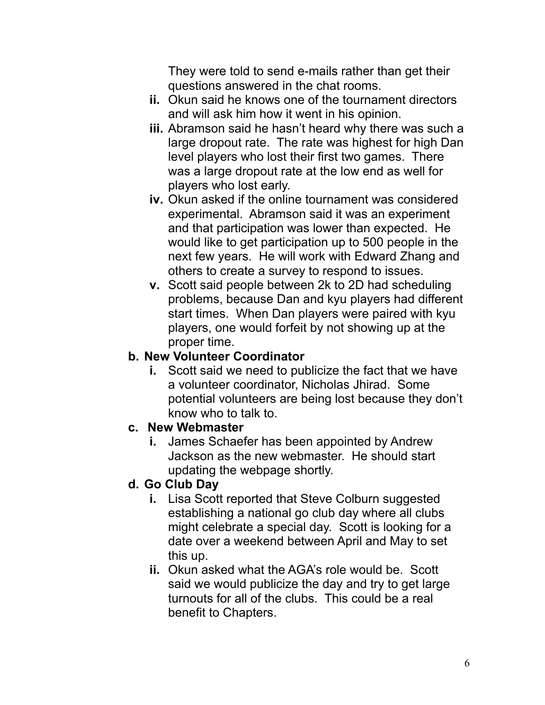They were told to send e-mails rather than get their questions answered in the chat rooms.

- **ii.** Okun said he knows one of the tournament directors and will ask him how it went in his opinion.
- **iii.** Abramson said he hasn't heard why there was such a large dropout rate. The rate was highest for high Dan level players who lost their first two games. There was a large dropout rate at the low end as well for players who lost early.
- **iv.** Okun asked if the online tournament was considered experimental. Abramson said it was an experiment and that participation was lower than expected. He would like to get participation up to 500 people in the next few years. He will work with Edward Zhang and others to create a survey to respond to issues.
- **v.** Scott said people between 2k to 2D had scheduling problems, because Dan and kyu players had different start times. When Dan players were paired with kyu players, one would forfeit by not showing up at the proper time.

#### **b. New Volunteer Coordinator**

**i.** Scott said we need to publicize the fact that we have a volunteer coordinator, Nicholas Jhirad. Some potential volunteers are being lost because they don't know who to talk to.

## **c. New Webmaster**

**i.** James Schaefer has been appointed by Andrew Jackson as the new webmaster. He should start updating the webpage shortly.

# **d. Go Club Day**

- **i.** Lisa Scott reported that Steve Colburn suggested establishing a national go club day where all clubs might celebrate a special day. Scott is looking for a date over a weekend between April and May to set this up.
- **ii.** Okun asked what the AGA's role would be. Scott said we would publicize the day and try to get large turnouts for all of the clubs. This could be a real benefit to Chapters.